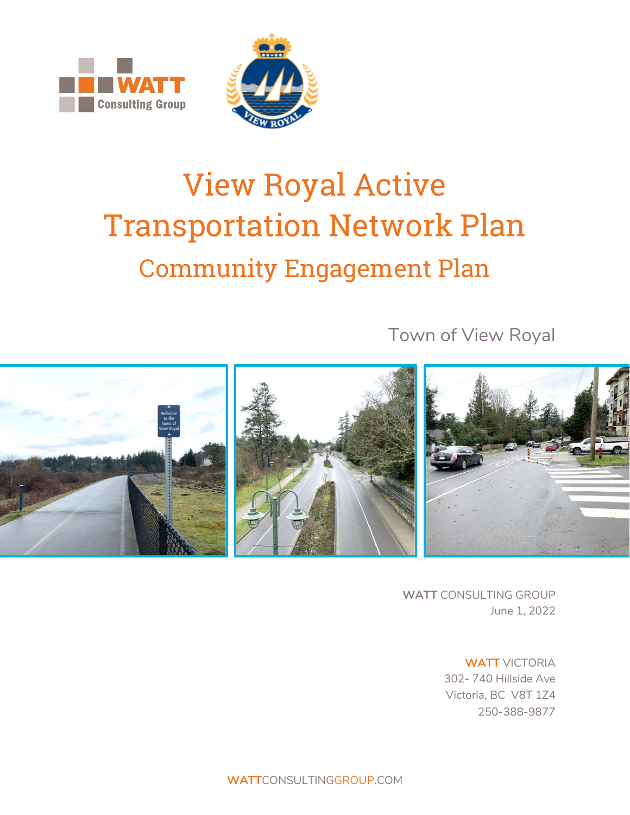



# View Royal Active Transportation Network Plan Community Engagement Plan

Town of View Royal



**WATT** CONSULTING GROUP June 1, 2022

> **WATT** VICTORIA 302- 740 Hillside Ave Victoria, BC V8T 1Z4 250-388-9877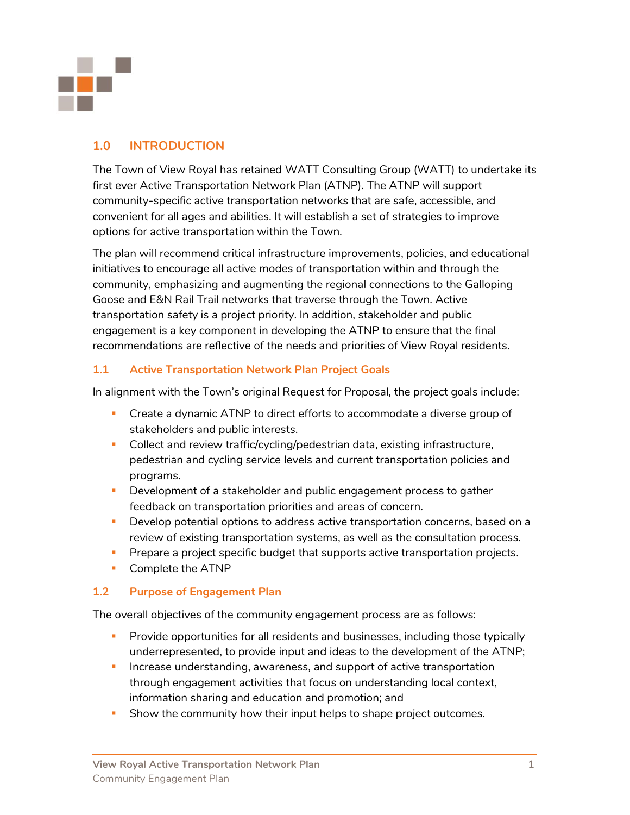

# **1.0 INTRODUCTION**

The Town of View Royal has retained WATT Consulting Group (WATT) to undertake its first ever Active Transportation Network Plan (ATNP). The ATNP will support community-specific active transportation networks that are safe, accessible, and convenient for all ages and abilities. It will establish a set of strategies to improve options for active transportation within the Town.

The plan will recommend critical infrastructure improvements, policies, and educational initiatives to encourage all active modes of transportation within and through the community, emphasizing and augmenting the regional connections to the Galloping Goose and E&N Rail Trail networks that traverse through the Town. Active transportation safety is a project priority. In addition, stakeholder and public engagement is a key component in developing the ATNP to ensure that the final recommendations are reflective of the needs and priorities of View Royal residents.

## **1.1 Active Transportation Network Plan Project Goals**

In alignment with the Town's original Request for Proposal, the project goals include:

- **•** Create a dynamic ATNP to direct efforts to accommodate a diverse group of stakeholders and public interests.
- **•** Collect and review traffic/cycling/pedestrian data, existing infrastructure, pedestrian and cycling service levels and current transportation policies and programs.
- **•** Development of a stakeholder and public engagement process to gather feedback on transportation priorities and areas of concern.
- **•** Develop potential options to address active transportation concerns, based on a review of existing transportation systems, as well as the consultation process.
- **•** Prepare a project specific budget that supports active transportation projects.
- Complete the ATNP

## **1.2 Purpose of Engagement Plan**

The overall objectives of the community engagement process are as follows:

- **•** Provide opportunities for all residents and businesses, including those typically underrepresented, to provide input and ideas to the development of the ATNP;
- **EXT** Increase understanding, awareness, and support of active transportation through engagement activities that focus on understanding local context, information sharing and education and promotion; and
- Show the community how their input helps to shape project outcomes.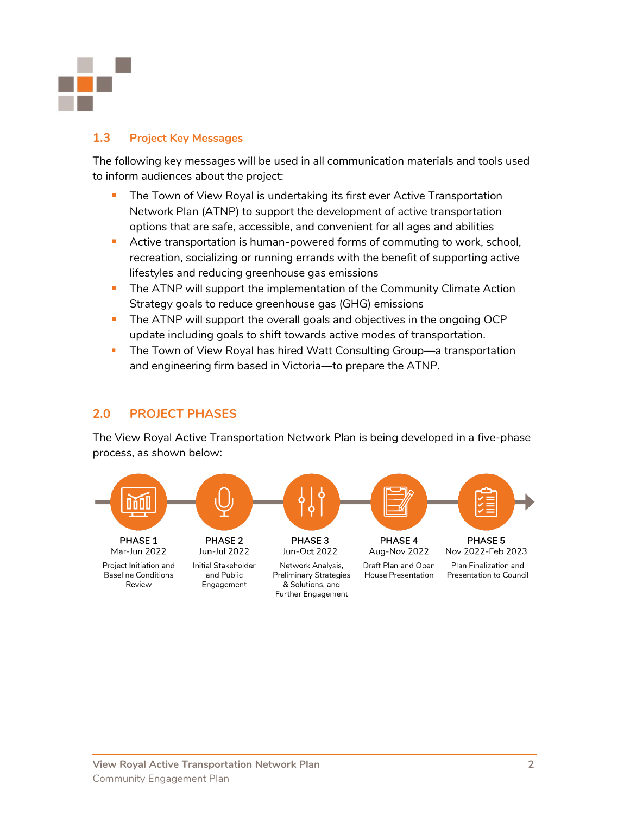

## **1.3 Project Key Messages**

The following key messages will be used in all communication materials and tools used to inform audiences about the project:

- **•** The Town of View Royal is undertaking its first ever Active Transportation Network Plan (ATNP) to support the development of active transportation options that are safe, accessible, and convenient for all ages and abilities
- **E** Active transportation is human-powered forms of commuting to work, school, recreation, socializing or running errands with the benefit of supporting active lifestyles and reducing greenhouse gas emissions
- **The ATNP will support the implementation of the Community Climate Action** Strategy goals to reduce greenhouse gas (GHG) emissions
- **The ATNP will support the overall goals and objectives in the ongoing OCP** update including goals to shift towards active modes of transportation.
- The Town of View Royal has hired Watt Consulting Group—a transportation and engineering firm based in Victoria—to prepare the ATNP.

## **2.0 PROJECT PHASES**

The View Royal Active Transportation Network Plan is being developed in a five-phase process, as shown below:

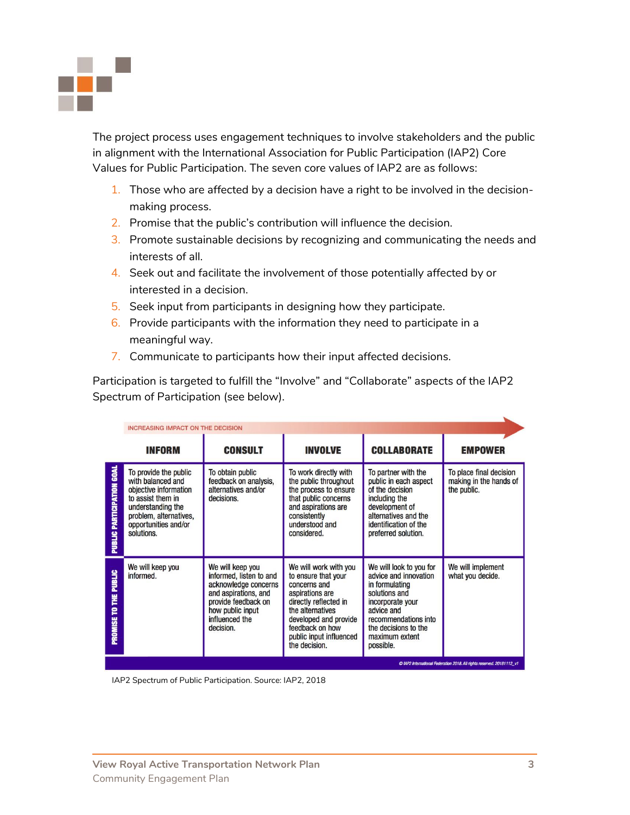

The project process uses engagement techniques to involve stakeholders and the public in alignment with the International Association for Public Participation (IAP2) Core Values for Public Participation. The seven core values of IAP2 are as follows:

- 1. Those who are affected by a decision have a right to be involved in the decisionmaking process.
- 2. Promise that the public's contribution will influence the decision.
- 3. Promote sustainable decisions by recognizing and communicating the needs and interests of all.
- 4. Seek out and facilitate the involvement of those potentially affected by or interested in a decision.
- 5. Seek input from participants in designing how they participate.
- 6. Provide participants with the information they need to participate in a meaningful way.
- 7. Communicate to participants how their input affected decisions.

Participation is targeted to fulfill the "Involve" and "Collaborate" aspects of the IAP2 Spectrum of Participation (see below).

|                                    | <b>INCREASING IMPACT ON THE DECISION</b>                                                                                                                                      |                                                                                                                                                                       |                                                                                                                                                                                                                      |                                                                                                                                                                                                      |                                                                  |
|------------------------------------|-------------------------------------------------------------------------------------------------------------------------------------------------------------------------------|-----------------------------------------------------------------------------------------------------------------------------------------------------------------------|----------------------------------------------------------------------------------------------------------------------------------------------------------------------------------------------------------------------|------------------------------------------------------------------------------------------------------------------------------------------------------------------------------------------------------|------------------------------------------------------------------|
|                                    | <b>INFORM</b>                                                                                                                                                                 | <b>CONSULT</b>                                                                                                                                                        | <b>INVOLVE</b>                                                                                                                                                                                                       | <b>COLLABORATE</b>                                                                                                                                                                                   | <b>EMPOWER</b>                                                   |
| <b>PUBLIC PARTIGIPATION GOAL</b>   | To provide the public<br>with balanced and<br>objective information<br>to assist them in<br>understanding the<br>problem, alternatives,<br>opportunities and/or<br>solutions. | To obtain public<br>feedback on analysis,<br>alternatives and/or<br>decisions.                                                                                        | To work directly with<br>the public throughout<br>the process to ensure<br>that public concerns<br>and aspirations are<br>consistently<br>understood and<br>considered.                                              | To partner with the<br>public in each aspect<br>of the decision<br>including the<br>development of<br>alternatives and the<br>identification of the<br>preferred solution.                           | To place final decision<br>making in the hands of<br>the public. |
| PUBLIC<br>¥<br>ε<br><b>PROMISE</b> | We will keep you<br>informed.                                                                                                                                                 | We will keep you<br>informed, listen to and<br>acknowledge concerns<br>and aspirations, and<br>provide feedback on<br>how public input<br>influenced the<br>decision. | We will work with you<br>to ensure that your<br>concerns and<br>aspirations are<br>directly reflected in<br>the alternatives<br>developed and provide<br>feedback on how<br>public input influenced<br>the decision. | We will look to you for<br>advice and innovation<br>in formulating<br>solutions and<br>incorporate your<br>advice and<br>recommendations into<br>the decisions to the<br>maximum extent<br>possible. | We will implement<br>what you decide.                            |

IAP2 Spectrum of Public Participation. Source: IAP2, 2018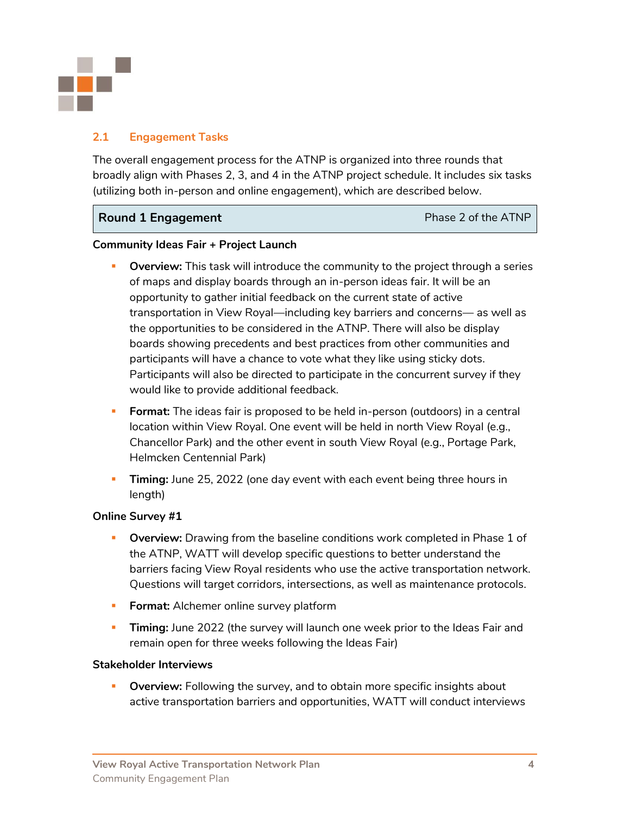

## **2.1 Engagement Tasks**

The overall engagement process for the ATNP is organized into three rounds that broadly align with Phases 2, 3, and 4 in the ATNP project schedule. It includes six tasks (utilizing both in-person and online engagement), which are described below.

## **Round 1 Engagement Phase 2 of the ATNP**

### **Community Ideas Fair + Project Launch**

- **Overview:** This task will introduce the community to the project through a series of maps and display boards through an in-person ideas fair. It will be an opportunity to gather initial feedback on the current state of active transportation in View Royal—including key barriers and concerns— as well as the opportunities to be considered in the ATNP. There will also be display boards showing precedents and best practices from other communities and participants will have a chance to vote what they like using sticky dots. Participants will also be directed to participate in the concurrent survey if they would like to provide additional feedback.
- **Format:** The ideas fair is proposed to be held in-person (outdoors) in a central location within View Royal. One event will be held in north View Royal (e.g., Chancellor Park) and the other event in south View Royal (e.g., Portage Park, Helmcken Centennial Park)
- **Timing:** June 25, 2022 (one day event with each event being three hours in length)

## **Online Survey #1**

- **Overview:** Drawing from the baseline conditions work completed in Phase 1 of the ATNP, WATT will develop specific questions to better understand the barriers facing View Royal residents who use the active transportation network. Questions will target corridors, intersections, as well as maintenance protocols.
- **Format:** Alchemer online survey platform
- **Timing:** June 2022 (the survey will launch one week prior to the Ideas Fair and remain open for three weeks following the Ideas Fair)

#### **Stakeholder Interviews**

**• Overview:** Following the survey, and to obtain more specific insights about active transportation barriers and opportunities, WATT will conduct interviews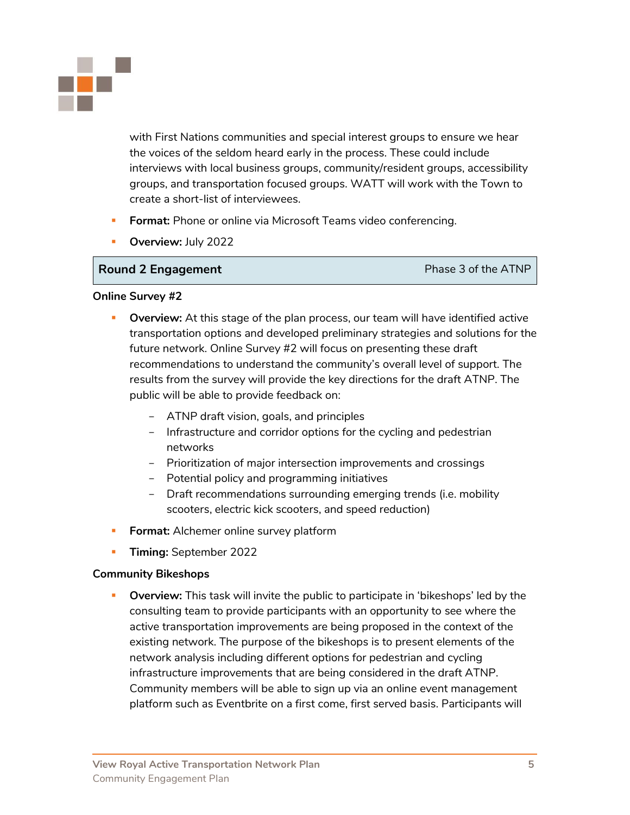

with First Nations communities and special interest groups to ensure we hear the voices of the seldom heard early in the process. These could include interviews with local business groups, community/resident groups, accessibility groups, and transportation focused groups. WATT will work with the Town to create a short-list of interviewees.

- **Format:** Phone or online via Microsoft Teams video conferencing.
- **Overview: July 2022**

### **Round 2 Engagement Phase 3 of the ATNP**

#### **Online Survey #2**

- **Overview:** At this stage of the plan process, our team will have identified active transportation options and developed preliminary strategies and solutions for the future network. Online Survey #2 will focus on presenting these draft recommendations to understand the community's overall level of support. The results from the survey will provide the key directions for the draft ATNP. The public will be able to provide feedback on:
	- ATNP draft vision, goals, and principles
	- Infrastructure and corridor options for the cycling and pedestrian networks
	- Prioritization of major intersection improvements and crossings
	- Potential policy and programming initiatives
	- Draft recommendations surrounding emerging trends (i.e. mobility scooters, electric kick scooters, and speed reduction)
- **Format:** Alchemer online survey platform
- **Timing:** September 2022

#### **Community Bikeshops**

**• Overview:** This task will invite the public to participate in 'bikeshops' led by the consulting team to provide participants with an opportunity to see where the active transportation improvements are being proposed in the context of the existing network. The purpose of the bikeshops is to present elements of the network analysis including different options for pedestrian and cycling infrastructure improvements that are being considered in the draft ATNP. Community members will be able to sign up via an online event management platform such as Eventbrite on a first come, first served basis. Participants will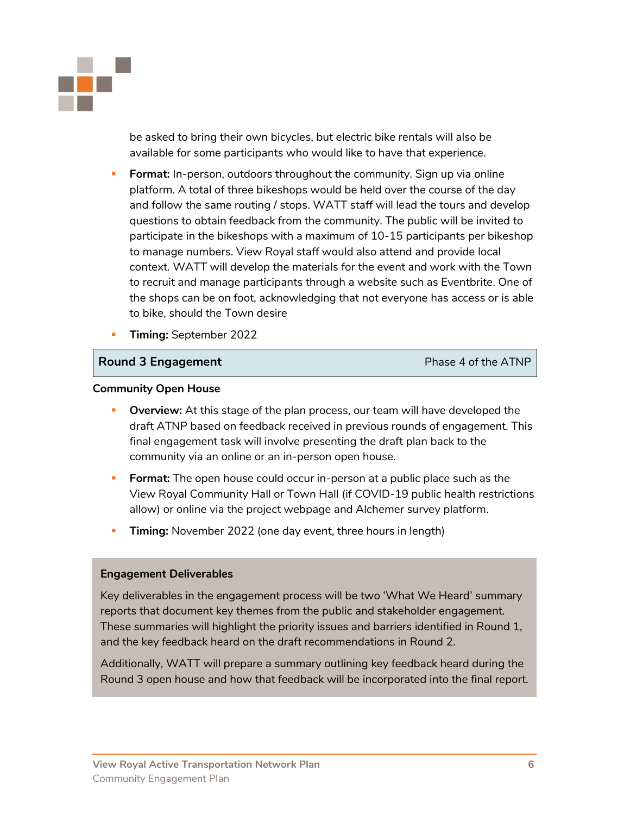

be asked to bring their own bicycles, but electric bike rentals will also be available for some participants who would like to have that experience.

- **Format:** In-person, outdoors throughout the community. Sign up via online platform. A total of three bikeshops would be held over the course of the day and follow the same routing / stops. WATT staff will lead the tours and develop questions to obtain feedback from the community. The public will be invited to participate in the bikeshops with a maximum of 10-15 participants per bikeshop to manage numbers. View Royal staff would also attend and provide local context. WATT will develop the materials for the event and work with the Town to recruit and manage participants through a website such as Eventbrite. One of the shops can be on foot, acknowledging that not everyone has access or is able to bike, should the Town desire
- **Timing:** September 2022

#### **Round 3 Engagement Phase 4 of the ATNP**

#### **Community Open House**

- **Overview:** At this stage of the plan process, our team will have developed the draft ATNP based on feedback received in previous rounds of engagement. This final engagement task will involve presenting the draft plan back to the community via an online or an in-person open house.
- **Format:** The open house could occur in-person at a public place such as the View Royal Community Hall or Town Hall (if COVID-19 public health restrictions allow) or online via the project webpage and Alchemer survey platform.
- **Timing:** November 2022 (one day event, three hours in length)

#### **Engagement Deliverables**

Key deliverables in the engagement process will be two 'What We Heard' summary reports that document key themes from the public and stakeholder engagement. These summaries will highlight the priority issues and barriers identified in Round 1, and the key feedback heard on the draft recommendations in Round 2.

Additionally, WATT will prepare a summary outlining key feedback heard during the Round 3 open house and how that feedback will be incorporated into the final report.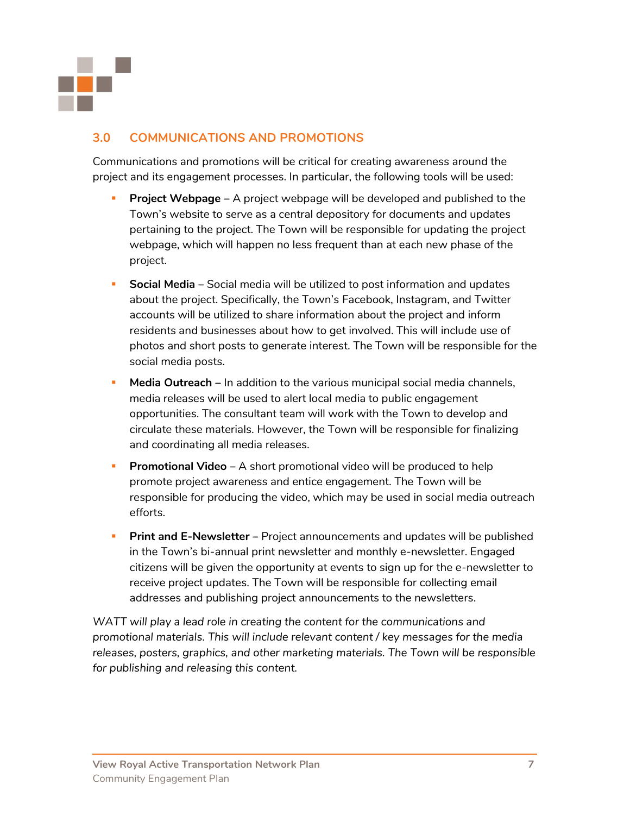

# **3.0 COMMUNICATIONS AND PROMOTIONS**

Communications and promotions will be critical for creating awareness around the project and its engagement processes. In particular, the following tools will be used:

- **Project Webpage** A project webpage will be developed and published to the Town's website to serve as a central depository for documents and updates pertaining to the project. The Town will be responsible for updating the project webpage, which will happen no less frequent than at each new phase of the project.
- **Social Media** Social media will be utilized to post information and updates about the project. Specifically, the Town's Facebook, Instagram, and Twitter accounts will be utilized to share information about the project and inform residents and businesses about how to get involved. This will include use of photos and short posts to generate interest. The Town will be responsible for the social media posts.
- **Media Outreach** In addition to the various municipal social media channels, media releases will be used to alert local media to public engagement opportunities. The consultant team will work with the Town to develop and circulate these materials. However, the Town will be responsible for finalizing and coordinating all media releases.
- **Promotional Video** A short promotional video will be produced to help promote project awareness and entice engagement. The Town will be responsible for producing the video, which may be used in social media outreach efforts.
- **Print and E-Newsletter** Project announcements and updates will be published in the Town's bi-annual print newsletter and monthly e-newsletter. Engaged citizens will be given the opportunity at events to sign up for the e-newsletter to receive project updates. The Town will be responsible for collecting email addresses and publishing project announcements to the newsletters.

*WATT will play a lead role in creating the content for the communications and promotional materials. This will include relevant content / key messages for the media releases, posters, graphics, and other marketing materials. The Town will be responsible for publishing and releasing this content.*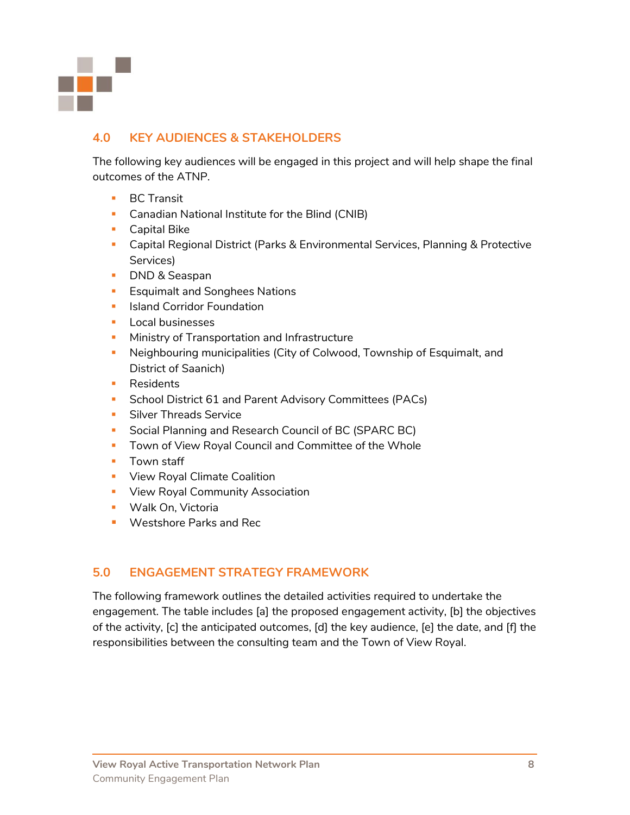

# **4.0 KEY AUDIENCES & STAKEHOLDERS**

The following key audiences will be engaged in this project and will help shape the final outcomes of the ATNP.

- BC Transit
- **Canadian National Institute for the Blind (CNIB)**
- Capital Bike
- Capital Regional District (Parks & Environmental Services, Planning & Protective Services)
- DND & Seaspan
- **Exquimalt and Songhees Nations**
- **■** Island Corridor Foundation
- Local businesses
- **E** Ministry of Transportation and Infrastructure
- **EXECT** Neighbouring municipalities (City of Colwood, Township of Esquimalt, and District of Saanich)
- Residents
- School District 61 and Parent Advisory Committees (PACs)
- **E** Silver Threads Service
- Social Planning and Research Council of BC (SPARC BC)
- Town of View Royal Council and Committee of the Whole
- Town staff
- **View Royal Climate Coalition**
- **View Royal Community Association**
- Walk On, Victoria
- Westshore Parks and Rec

## **5.0 ENGAGEMENT STRATEGY FRAMEWORK**

The following framework outlines the detailed activities required to undertake the engagement. The table includes [a] the proposed engagement activity, [b] the objectives of the activity, [c] the anticipated outcomes, [d] the key audience, [e] the date, and [f] the responsibilities between the consulting team and the Town of View Royal.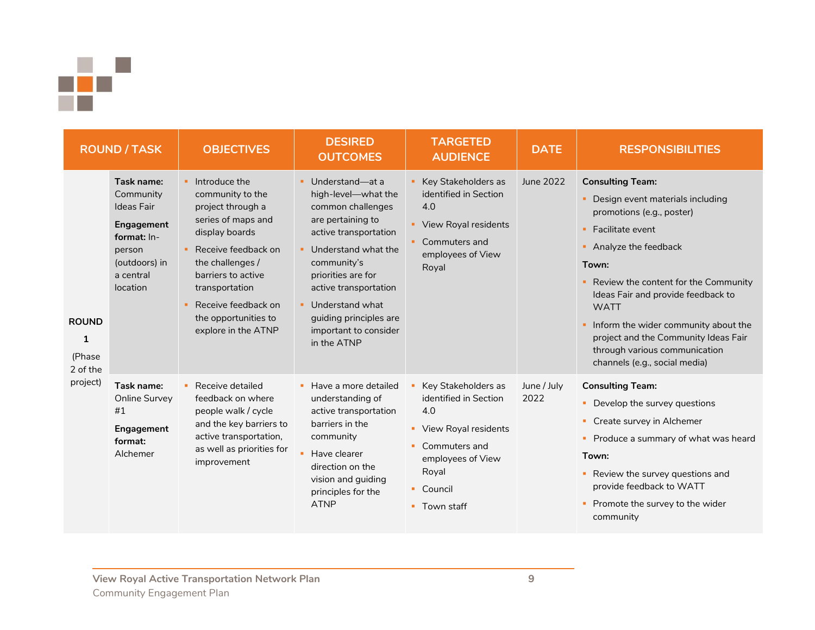

| <b>ROUND / TASK</b>                                            |                                                                                                                               | <b>OBJECTIVES</b>                                                                                                                                                                                                                                                      | <b>DESIRED</b><br><b>OUTCOMES</b>                                                                                                                                                                                                                                                             | <b>TARGETED</b><br><b>AUDIENCE</b>                                                                                                                                  | <b>DATE</b>         | <b>RESPONSIBILITIES</b>                                                                                                                                                                                                                                                                                                                                                                            |
|----------------------------------------------------------------|-------------------------------------------------------------------------------------------------------------------------------|------------------------------------------------------------------------------------------------------------------------------------------------------------------------------------------------------------------------------------------------------------------------|-----------------------------------------------------------------------------------------------------------------------------------------------------------------------------------------------------------------------------------------------------------------------------------------------|---------------------------------------------------------------------------------------------------------------------------------------------------------------------|---------------------|----------------------------------------------------------------------------------------------------------------------------------------------------------------------------------------------------------------------------------------------------------------------------------------------------------------------------------------------------------------------------------------------------|
| <b>ROUND</b><br>$\mathbf{1}$<br>(Phase<br>2 of the<br>project) | Task name:<br>Community<br><b>Ideas Fair</b><br>Engagement<br>format: In-<br>person<br>(outdoors) in<br>a central<br>location | $\blacksquare$ Introduce the<br>community to the<br>project through a<br>series of maps and<br>display boards<br>Receive feedback on<br>the challenges /<br>barriers to active<br>transportation<br>Receive feedback on<br>the opportunities to<br>explore in the ATNP | Understand-at a<br>high-level-what the<br>common challenges<br>are pertaining to<br>active transportation<br>Understand what the<br>٠<br>community's<br>priorities are for<br>active transportation<br>Understand what<br>٠<br>guiding principles are<br>important to consider<br>in the ATNP | Key Stakeholders as<br>identified in Section<br>4.0<br>View Royal residents<br>Commuters and<br>employees of View<br>Royal                                          | June 2022           | <b>Consulting Team:</b><br>• Design event materials including<br>promotions (e.g., poster)<br>• Facilitate event<br>Analyze the feedback<br>Town:<br>• Review the content for the Community<br>Ideas Fair and provide feedback to<br><b>WATT</b><br>Inform the wider community about the<br>project and the Community Ideas Fair<br>through various communication<br>channels (e.g., social media) |
|                                                                | Task name:<br>Online Survey<br>#1<br>Engagement<br>format:<br>Alchemer                                                        | • Receive detailed<br>feedback on where<br>people walk / cycle<br>and the key barriers to<br>active transportation,<br>as well as priorities for<br>improvement                                                                                                        | Have a more detailed<br>understanding of<br>active transportation<br>barriers in the<br>community<br>Have clearer<br>direction on the<br>vision and guiding<br>principles for the<br><b>ATNP</b>                                                                                              | Key Stakeholders as<br>identified in Section<br>4.0<br>View Royal residents<br>٠<br>Commuters and<br>employees of View<br>Royal<br>Council<br>m.<br>Town staff<br>٠ | June / July<br>2022 | <b>Consulting Team:</b><br>• Develop the survey questions<br>• Create survey in Alchemer<br>• Produce a summary of what was heard<br>Town:<br>Review the survey questions and<br>provide feedback to WATT<br>• Promote the survey to the wider<br>community                                                                                                                                        |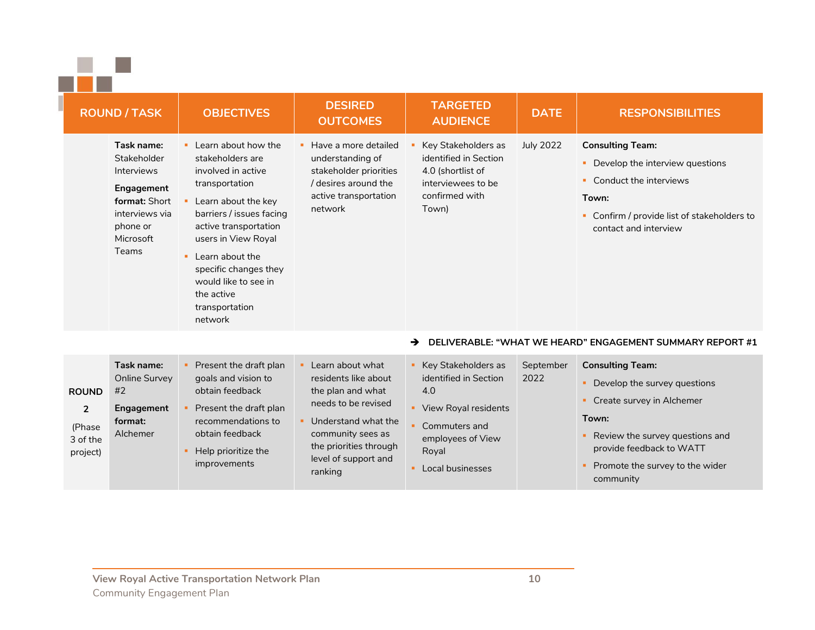|  | × |
|--|---|
|  |   |

| <b>ROUND / TASK</b>                                                                                                                             | <b>OBJECTIVES</b>                                                                                                                                                                                                                                                                                                  | <b>DESIRED</b><br><b>OUTCOMES</b>                                                                                              | <b>TARGETED</b><br><b>AUDIENCE</b>                                                                                 | <b>DATE</b>      | <b>RESPONSIBILITIES</b>                                                                                                                                                       |
|-------------------------------------------------------------------------------------------------------------------------------------------------|--------------------------------------------------------------------------------------------------------------------------------------------------------------------------------------------------------------------------------------------------------------------------------------------------------------------|--------------------------------------------------------------------------------------------------------------------------------|--------------------------------------------------------------------------------------------------------------------|------------------|-------------------------------------------------------------------------------------------------------------------------------------------------------------------------------|
| Task name:<br><b>Stakeholder</b><br><b>Interviews</b><br>Engagement<br>format: Short<br>interviews via<br>phone or<br>Microsoft<br><b>Teams</b> | • Learn about how the<br>stakeholders are<br>involved in active<br>transportation<br>Learn about the key<br>barriers / issues facing<br>active transportation<br>users in View Royal<br>$\blacksquare$ Learn about the<br>specific changes they<br>would like to see in<br>the active<br>transportation<br>network | Have a more detailed<br>understanding of<br>stakeholder priorities<br>/ desires around the<br>active transportation<br>network | Key Stakeholders as<br>identified in Section<br>4.0 (shortlist of<br>interviewees to be<br>confirmed with<br>Town) | <b>July 2022</b> | <b>Consulting Team:</b><br>Develop the interview questions<br>Conduct the interviews<br>٠<br>Town:<br>Confirm / provide list of stakeholders to<br>٠<br>contact and interview |

#### ➔ **DELIVERABLE: "WHAT WE HEARD" ENGAGEMENT SUMMARY REPORT #1**

| <b>ROUND</b>                                     | Task name:<br>Online Survey<br>#2 | Present the draft plan<br>goals and vision to<br>obtain feedback                                              | Learn about what<br>residents like about<br>the plan and what                                                                | Key Stakeholders as<br>identified in Section<br>4.0                                     | September<br>2022 | <b>Consulting Team:</b><br>Develop the survey questions                                                                                           |
|--------------------------------------------------|-----------------------------------|---------------------------------------------------------------------------------------------------------------|------------------------------------------------------------------------------------------------------------------------------|-----------------------------------------------------------------------------------------|-------------------|---------------------------------------------------------------------------------------------------------------------------------------------------|
| $\overline{2}$<br>(Phase<br>3 of the<br>project) | Engagement<br>format:<br>Alchemer | Present the draft plan<br>recommendations to<br>obtain feedback<br>Help prioritize the<br><i>improvements</i> | needs to be revised<br>Understand what the<br>community sees as<br>the priorities through<br>level of support and<br>ranking | View Royal residents<br>Commuters and<br>employees of View<br>Royal<br>Local businesses |                   | Create survey in Alchemer<br>Town:<br>Review the survey questions and<br>provide feedback to WATT<br>Promote the survey to the wider<br>community |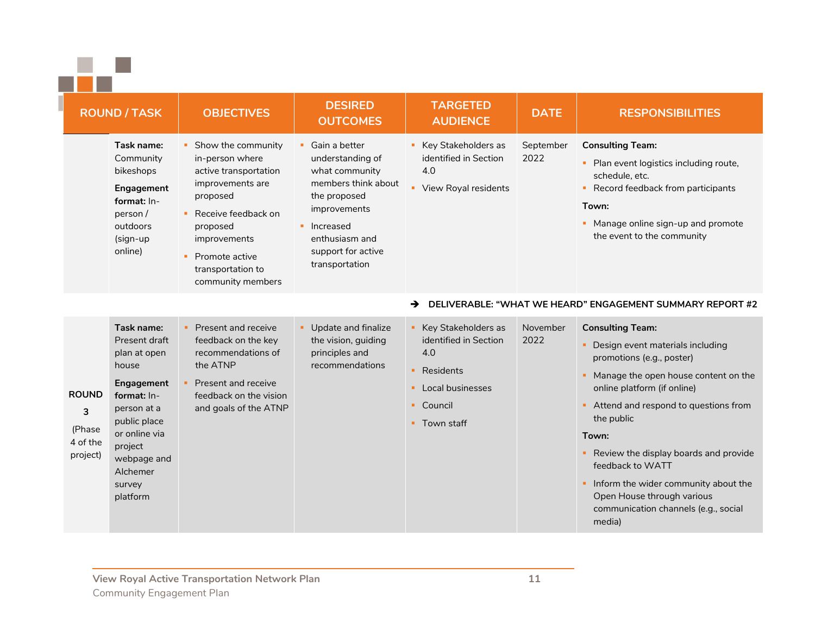|  | ١<br>٠ |
|--|--------|
|  | ×      |

| <b>ROUND / TASK</b>                                 |                                                                                                                                                                                               | <b>OBJECTIVES</b>                                                                                                                                                                                                   | <b>DESIRED</b><br><b>OUTCOMES</b>                                                                                                                                                         | <b>TARGETED</b><br><b>AUDIENCE</b>                                                                                                           | <b>DATE</b>       | <b>RESPONSIBILITIES</b>                                                                                                                                                                                                                                                                                                                                                                                             |
|-----------------------------------------------------|-----------------------------------------------------------------------------------------------------------------------------------------------------------------------------------------------|---------------------------------------------------------------------------------------------------------------------------------------------------------------------------------------------------------------------|-------------------------------------------------------------------------------------------------------------------------------------------------------------------------------------------|----------------------------------------------------------------------------------------------------------------------------------------------|-------------------|---------------------------------------------------------------------------------------------------------------------------------------------------------------------------------------------------------------------------------------------------------------------------------------------------------------------------------------------------------------------------------------------------------------------|
|                                                     | Task name:<br>Community<br>bikeshops<br>Engagement<br>format: In-<br>person/<br>outdoors<br>(sign-up<br>online)                                                                               | • Show the community<br>in-person where<br>active transportation<br>improvements are<br>proposed<br>• Receive feedback on<br>proposed<br>improvements<br>• Promote active<br>transportation to<br>community members | Gain a better<br>×.<br>understanding of<br>what community<br>members think about<br>the proposed<br>improvements<br>• Increased<br>enthusiasm and<br>support for active<br>transportation | Key Stakeholders as<br>identified in Section<br>4.0<br>×.<br>View Royal residents                                                            | September<br>2022 | <b>Consulting Team:</b><br>Plan event logistics including route,<br>schedule, etc.<br>Record feedback from participants<br>٠<br>Town:<br>Manage online sign-up and promote<br>the event to the community                                                                                                                                                                                                            |
|                                                     |                                                                                                                                                                                               |                                                                                                                                                                                                                     |                                                                                                                                                                                           | →                                                                                                                                            |                   | DELIVERABLE: "WHAT WE HEARD" ENGAGEMENT SUMMARY REPORT #2                                                                                                                                                                                                                                                                                                                                                           |
| <b>ROUND</b><br>3<br>(Phase<br>4 of the<br>project) | Task name:<br>Present draft<br>plan at open<br>house<br>Engagement<br>format: In-<br>person at a<br>public place<br>or online via<br>project<br>webpage and<br>Alchemer<br>survey<br>platform | • Present and receive<br>feedback on the key<br>recommendations of<br>the ATNP<br>Present and receive<br>feedback on the vision<br>and goals of the ATNP                                                            | Update and finalize<br>$\mathbf{H}^{\prime}$<br>the vision, guiding<br>principles and<br>recommendations                                                                                  | Key Stakeholders as<br>$\mathbf{H}$ .<br>identified in Section<br>4.0<br>Residents<br>٠<br>Local businesses<br>Council<br>п.<br>• Town staff | November<br>2022  | <b>Consulting Team:</b><br>Design event materials including<br>promotions (e.g., poster)<br>Manage the open house content on the<br>online platform (if online)<br>Attend and respond to questions from<br>the public<br>Town:<br>Review the display boards and provide<br>feedback to WATT<br>Inform the wider community about the<br>Open House through various<br>communication channels (e.g., social<br>media) |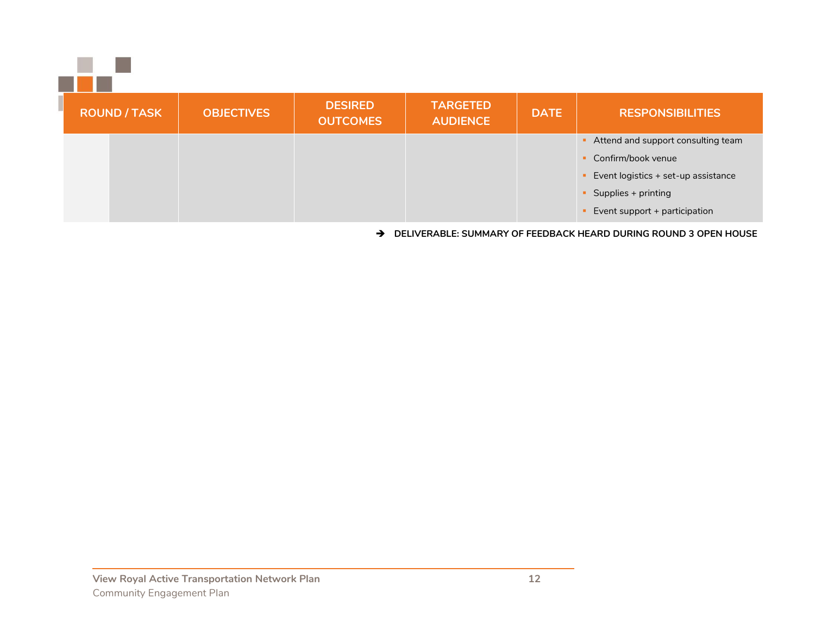| <b>ROUND / TASK</b> | <b>OBJECTIVES</b> | <b>DESIRED</b><br><b>OUTCOMES</b> | <b>TARGETED</b><br><b>AUDIENCE</b> | <b>DATE</b> | <b>RESPONSIBILITIES</b>             |  |  |
|---------------------|-------------------|-----------------------------------|------------------------------------|-------------|-------------------------------------|--|--|
|                     |                   |                                   |                                    |             | Attend and support consulting team  |  |  |
|                     |                   |                                   |                                    |             | Confirm/book venue                  |  |  |
|                     |                   |                                   |                                    |             | Event logistics + set-up assistance |  |  |
|                     |                   |                                   |                                    |             | Supplies + printing                 |  |  |
|                     |                   |                                   |                                    |             | Event support + participation       |  |  |

➔ **DELIVERABLE: SUMMARY OF FEEDBACK HEARD DURING ROUND 3 OPEN HOUSE**